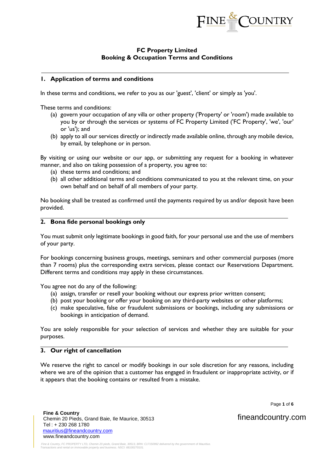

# **FC Property Limited Booking & Occupation Terms and Conditions**

## **1. Application of terms and conditions**

In these terms and conditions, we refer to you as our 'guest', 'client' or simply as 'you'.

These terms and conditions:

- (a) govern your occupation of any villa or other property ('Property' or 'room') made available to you by or through the services or systems of FC Property Limited ('FC Property', 'we', 'our' or 'us'); and
- (b) apply to all our services directly or indirectly made available online, through any mobile device, by email, by telephone or in person.

By visiting or using our website or our app, or submitting any request for a booking in whatever manner, and also on taking possession of a property, you agree to:

- (a) these terms and conditions; and
- (b) all other additional terms and conditions communicated to you at the relevant time, on your own behalf and on behalf of all members of your party.

No booking shall be treated as confirmed until the payments required by us and/or deposit have been provided.

#### **2. Bona fide personal bookings only**

You must submit only legitimate bookings in good faith, for your personal use and the use of members of your party.

For bookings concerning business groups, meetings, seminars and other commercial purposes (more than 7 rooms) plus the corresponding extra services, please contact our Reservations Department. Different terms and conditions may apply in these circumstances.

You agree not do any of the following:

- (a) assign, transfer or resell your booking without our express prior written consent;
- (b) post your booking or offer your booking on any third-party websites or other platforms;
- (c) make speculative, false or fraudulent submissions or bookings, including any submissions or bookings in anticipation of demand.

You are solely responsible for your selection of services and whether they are suitable for your purposes.

## **3. Our right of cancellation**

We reserve the right to cancel or modify bookings in our sole discretion for any reasons, including where we are of the opinion that a customer has engaged in fraudulent or inappropriate activity, or if it appears that the booking contains or resulted from a mistake.

Page **1** of **6**

 **Fine & Country**  Chemin 20 Pieds, Grand Baie, Ile Maurice, 30513 Tel : + 230 268 1780 [mauritius@fineandcountry.com](mailto:mauritius@fineandcountry.com) www.fineandcountry.com

fineandcountry.com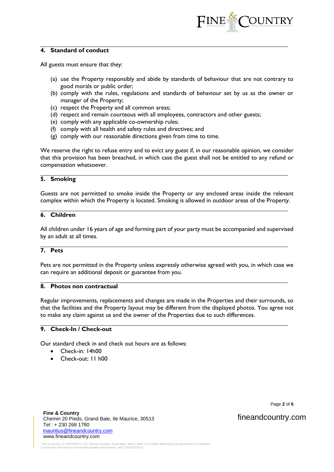

## **4. Standard of conduct**

All guests must ensure that they:

- (a) use the Property responsibly and abide by standards of behaviour that are not contrary to good morals or public order;
- (b) comply with the rules, regulations and standards of behaviour set by us as the owner or manager of the Property;
- (c) respect the Property and all common areas;
- (d) respect and remain courteous with all employees, contractors and other guests;
- (e) comply with any applicable co-ownership rules;
- (f) comply with all health and safety rules and directives; and
- (g) comply with our reasonable directions given from time to time.

We reserve the right to refuse entry and to evict any guest if, in our reasonable opinion, we consider that this provision has been breached, in which case the guest shall not be entitled to any refund or compensation whatsoever.

#### **5. Smoking**

Guests are not permitted to smoke inside the Property or any enclosed areas inside the relevant complex within which the Property is located. Smoking is allowed in outdoor areas of the Property.

# **6. Children**

All children under 16 years of age and forming part of your party must be accompanied and supervised by an adult at all times.

## **7. Pets**

Pets are not permitted in the Property unless expressly otherwise agreed with you, in which case we can require an additional deposit or guarantee from you.

## **8. Photos non contractual**

Regular improvements, replacements and changes are made in the Properties and their surrounds, so that the facilities and the Property layout may be different from the displayed photos. You agree not to make any claim against us and the owner of the Properties due to such differences.

# **9. Check-In / Check-out**

Our standard check in and check out hours are as follows:

- Check-in: 14h00
- Check-out: 11 h00

Page **2** of **6**

# fineandcountry.com

 **Fine & Country**  Chemin 20 Pieds, Grand Baie, Ile Maurice, 30513 Tel : + 230 268 1780 [mauritius@fineandcountry.com](mailto:mauritius@fineandcountry.com) www.fineandcountry.com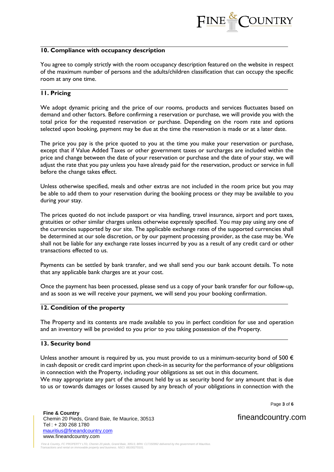

### **10. Compliance with occupancy description**

You agree to comply strictly with the room occupancy description featured on the website in respect of the maximum number of persons and the adults/children classification that can occupy the specific room at any one time.

#### **11. Pricing**

We adopt dynamic pricing and the price of our rooms, products and services fluctuates based on demand and other factors. Before confirming a reservation or purchase, we will provide you with the total price for the requested reservation or purchase. Depending on the room rate and options selected upon booking, payment may be due at the time the reservation is made or at a later date.

The price you pay is the price quoted to you at the time you make your reservation or purchase, except that if Value Added Taxes or other government taxes or surcharges are included within the price and change between the date of your reservation or purchase and the date of your stay, we will adjust the rate that you pay unless you have already paid for the reservation, product or service in full before the change takes effect.

Unless otherwise specified, meals and other extras are not included in the room price but you may be able to add them to your reservation during the booking process or they may be available to you during your stay.

The prices quoted do not include passport or visa handling, travel insurance, airport and port taxes, gratuities or other similar charges unless otherwise expressly specified. You may pay using any one of the currencies supported by our site. The applicable exchange rates of the supported currencies shall be determined at our sole discretion, or by our payment processing provider, as the case may be. We shall not be liable for any exchange rate losses incurred by you as a result of any credit card or other transactions effected to us.

Payments can be settled by bank transfer, and we shall send you our bank account details. To note that any applicable bank charges are at your cost.

Once the payment has been processed, please send us a copy of your bank transfer for our follow-up, and as soon as we will receive your payment, we will send you your booking confirmation.

#### **12. Condition of the property**

The Property and its contents are made available to you in perfect condition for use and operation and an inventory will be provided to you prior to you taking possession of the Property.

#### **13. Security bond**

Unless another amount is required by us, you must provide to us a minimum-security bond of 500  $\epsilon$ in cash deposit or credit card imprint upon check-in as security for the performance of your obligations in connection with the Property, including your obligations as set out in this document. We may appropriate any part of the amount held by us as security bond for any amount that is due to us or towards damages or losses caused by any breach of your obligations in connection with the

Page **3** of **6**

 **Fine & Country**  Chemin 20 Pieds, Grand Baie, Ile Maurice, 30513 Tel : + 230 268 1780 [mauritius@fineandcountry.com](mailto:mauritius@fineandcountry.com) www.fineandcountry.com

fineandcountry.com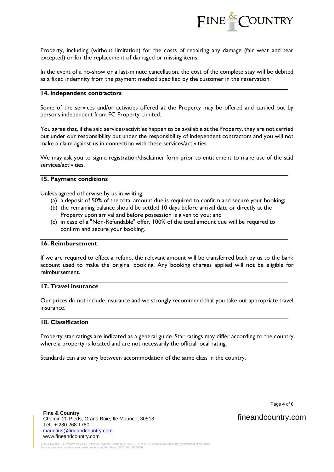

Property, including (without limitation) for the costs of repairing any damage (fair wear and tear excepted) or for the replacement of damaged or missing items.

In the event of a no-show or a last-minute cancellation, the cost of the complete stay will be debited as a fixed indemnity from the payment method specified by the customer in the reservation.

## **14. independent contractors**

Some of the services and/or activities offered at the Property may be offered and carried out by persons independent from FC Property Limited.

You agree that, if the said services/activities happen to be available at the Property, they are not carried out under our responsibility but under the responsibility of independent contractors and you will not make a claim against us in connection with these services/activities.

We may ask you to sign a registration/disclaimer form prior to entitlement to make use of the said services/activities.

#### **15. Payment conditions**

Unless agreed otherwise by us in writing:

- (a) a deposit of 50% of the total amount due is required to confirm and secure your booking;
- (b) the remaining balance should be settled 10 days before arrival date or directly at the Property upon arrival and before possession is given to you; and
- (c) in case of a "Non-Refundable" offer, 100% of the total amount due will be required to confirm and secure your booking.

## **16. Reimbursement**

If we are required to effect a refund, the relevant amount will be transferred back by us to the bank account used to make the original booking. Any booking charges applied will not be eligible for reimbursement.

## **17. Travel insurance**

Our prices do not include insurance and we strongly recommend that you take out appropriate travel insurance.

## **18. Classification**

Property star ratings are indicated as a general guide. Star ratings may differ according to the country where a property is located and are not necessarily the official local rating.

Standards can also vary between accommodation of the same class in the country.

Page **4** of **6**

fineandcountry.com

 **Fine & Country**  Chemin 20 Pieds, Grand Baie, Ile Maurice, 30513 Tel : + 230 268 1780 [mauritius@fineandcountry.com](mailto:mauritius@fineandcountry.com) www.fineandcountry.com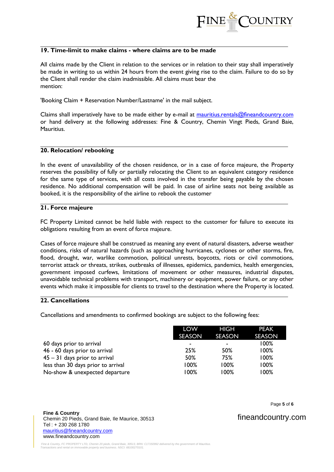

## **19. Time-limit to make claims - where claims are to be made**

All claims made by the Client in relation to the services or in relation to their stay shall imperatively be made in writing to us within 24 hours from the event giving rise to the claim. Failure to do so by the Client shall render the claim inadmissible. All claims must bear the mention:

'Booking Claim + Reservation Number/Lastname' in the mail subject.

Claims shall imperatively have to be made either by e-mail at mauritius.rentals@fineandcountry.com or hand delivery at the following addresses: Fine & Country, Chemin Vingt Pieds, Grand Baie, Mauritius.

#### **20. Relocation/ rebooking**

In the event of unavailability of the chosen residence, or in a case of force majeure, the Property reserves the possibility of fully or partially relocating the Client to an equivalent category residence for the same type of services, with all costs involved in the transfer being payable by the chosen residence. No additional compensation will be paid. In case of airline seats not being available as booked, it is the responsibility of the airline to rebook the customer

### **21. Force majeure**

FC Property Limited cannot be held liable with respect to the customer for failure to execute its obligations resulting from an event of force majeure.

Cases of force majeure shall be construed as meaning any event of natural disasters, adverse weather conditions, risks of natural hazards (such as approaching hurricanes, cyclones or other storms, fire, flood, drought, war, warlike commotion, political unrests, boycotts, riots or civil commotions, terrorist attack or threats, strikes, outbreaks of illnesses, epidemics, pandemics, health emergencies, government imposed curfews, limitations of movement or other measures, industrial disputes, unavoidable technical problems with transport, machinery or equipment, power failure, or any other events which make it impossible for clients to travel to the destination where the Property is located.

## **22. Cancellations**

Cancellations and amendments to confirmed bookings are subject to the following fees:

|                                    | LOW                      | HIGH           | <b>PEAK</b>   |
|------------------------------------|--------------------------|----------------|---------------|
|                                    | SEASON                   | <b>SEASON</b>  | <b>SEASON</b> |
| 60 days prior to arrival           | $\overline{\phantom{a}}$ | $\blacksquare$ | 100%          |
| 46 - 60 days prior to arrival      | 25%                      | 50%            | 100%          |
| $45 - 31$ days prior to arrival    | 50%                      | 75%            | 100%          |
| less than 30 days prior to arrival | 100%                     | 100%           | 100%          |
| No-show & unexpected departure     | 00% ا                    | $100\%$        | 100%          |

 **Fine & Country**  Chemin 20 Pieds, Grand Baie, Ile Maurice, 30513 Tel : + 230 268 1780 [mauritius@fineandcountry.com](mailto:mauritius@fineandcountry.com) www.fineandcountry.com

Page **5** of **6**

fineandcountry.com